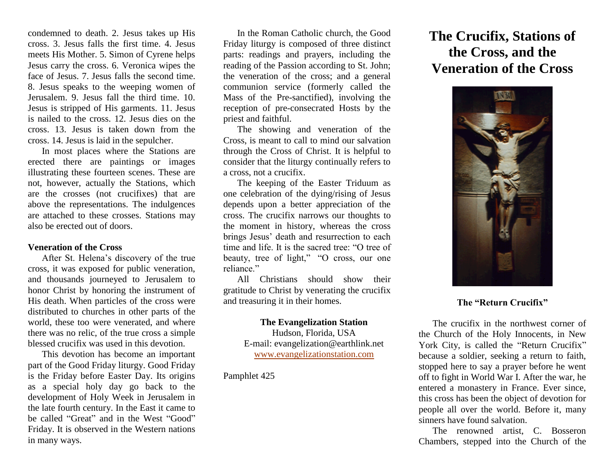condemned to death. 2. Jesus takes up His cross. 3. Jesus falls the first time. 4. Jesus meets His Mother. 5. Simon of Cyrene helps Jesus carry the cross. 6. Veronica wipes the face of Jesus. 7. Jesus falls the second time. 8. Jesus speaks to the weeping women of Jerusalem. 9. Jesus fall the third time. 10. Jesus is stripped of His garments. 11. Jesus is nailed to the cross. 12. Jesus dies on the cross. 13. Jesus is taken down from the cross. 14. Jesus is laid in the sepulcher.

In most places where the Stations are erected there are paintings or images illustrating these fourteen scenes. These are not, however, actually the Stations, which are the crosses (not crucifixes) that are above the representations. The indulgences are attached to these crosses. Stations may also be erected out of doors.

#### **Veneration of the Cross**

After St. Helena's discovery of the true cross, it was exposed for public veneration, and thousands journeyed to Jerusalem to honor Christ by honoring the instrument of His death. When particles of the cross were distributed to churches in other parts of the world, these too were venerated, and where there was no relic, of the true cross a simple blessed crucifix was used in this devotion.

This devotion has become an important part of the Good Friday liturgy. Good Friday is the Friday before Easter Day. Its origins as a special holy day go back to the development of Holy Week in Jerusalem in the late fourth century. In the East it came to be called "Great" and in the West "Good" Friday. It is observed in the Western nations in many ways.

In the Roman Catholic church, the Good Friday liturgy is composed of three distinct parts: readings and prayers, including the reading of the Passion according to St. John; the veneration of the cross; and a general communion service (formerly called the Mass of the Pre-sanctified), involving the reception of pre-consecrated Hosts by the priest and faithful.

The showing and veneration of the Cross, is meant to call to mind our salvation through the Cross of Christ. It is helpful to consider that the liturgy continually refers to a cross, not a crucifix.

The keeping of the Easter Triduum as one celebration of the dying/rising of Jesus depends upon a better appreciation of the cross. The crucifix narrows our thoughts to the moment in history, whereas the cross brings Jesus' death and resurrection to each time and life. It is the sacred tree: "O tree of beauty, tree of light," "O cross, our one reliance"

All Christians should show their gratitude to Christ by venerating the crucifix and treasuring it in their homes.

#### **The Evangelization Station**

Hudson, Florida, USA E-mail: evangelization@earthlink.net [www.evangelizationstation.com](http://www.pjpiisoe.org/)

Pamphlet 425

# **The Crucifix, Stations of the Cross, and the Veneration of the Cross**



## **The "Return Crucifix"**

The crucifix in the northwest corner of the Church of the Holy Innocents, in New York City, is called the "Return Crucifix" because a soldier, seeking a return to faith, stopped here to say a prayer before he went off to fight in World War I. After the war, he entered a monastery in France. Ever since, this cross has been the object of devotion for people all over the world. Before it, many sinners have found salvation.

The renowned artist, C. Bosseron Chambers, stepped into the Church of the